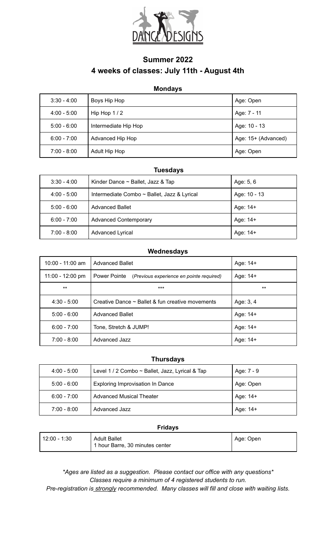

## **Summer 2022 4 weeks of classes: July 11th - August 4th**

## **Mondays**

| $3:30 - 4:00$ | Boys Hip Hop         | Age: Open           |
|---------------|----------------------|---------------------|
| $4:00 - 5:00$ | Hip Hop $1/2$        | Age: 7 - 11         |
| $5:00 - 6:00$ | Intermediate Hip Hop | Age: 10 - 13        |
| $6:00 - 7:00$ | Advanced Hip Hop     | Age: 15+ (Advanced) |
| $7:00 - 8:00$ | Adult Hip Hop        | Age: Open           |

## **Tuesdays**

| $3:30 - 4:00$ | Kinder Dance $\sim$ Ballet, Jazz & Tap      | Age: 5, 6    |
|---------------|---------------------------------------------|--------------|
| $4:00 - 5:00$ | Intermediate Combo ~ Ballet, Jazz & Lyrical | Age: 10 - 13 |
| $5:00 - 6:00$ | <b>Advanced Ballet</b>                      | Age: 14+     |
| $6:00 - 7:00$ | <b>Advanced Contemporary</b>                | Age: 14+     |
| $7:00 - 8:00$ | <b>Advanced Lyrical</b>                     | Age: 14+     |

### **Wednesdays**

| $10:00 - 11:00$ am | <b>Advanced Ballet</b>                                | Age: 14+  |
|--------------------|-------------------------------------------------------|-----------|
| 11:00 - 12:00 pm   | Power Pointe (Previous experience en pointe required) | Age: 14+  |
| $***$              | ***                                                   | $***$     |
| $4:30 - 5:00$      | Creative Dance $\sim$ Ballet & fun creative movements | Age: 3, 4 |
| $5:00 - 6:00$      | <b>Advanced Ballet</b>                                | Age: 14+  |
| $6:00 - 7:00$      | Tone, Stretch & JUMP!                                 | Age: 14+  |
| $7:00 - 8:00$      | Advanced Jazz                                         | Age: 14+  |

#### **Thursdays**

| $4:00 - 5:00$ | Level 1 / 2 Combo ~ Ballet, Jazz, Lyrical & Tap | Age: 7 - 9 |
|---------------|-------------------------------------------------|------------|
| $5:00 - 6:00$ | Exploring Improvisation In Dance                | Age: Open  |
| $6:00 - 7:00$ | <b>Advanced Musical Theater</b>                 | Age: 14+   |
| $7:00 - 8:00$ | Advanced Jazz                                   | Age: 14+   |

#### **Fridays**

| $112:00 - 1:30$ | <b>Adult Ballet</b><br>1 hour Barre, 30 minutes center | Age: Open |
|-----------------|--------------------------------------------------------|-----------|
|-----------------|--------------------------------------------------------|-----------|

*\*Ages are listed as a suggestion. Please contact our office with any questions\* Classes require a minimum of 4 registered students to run.*

*Pre-registration is strongly recommended. Many classes will fill and close with waiting lists.*